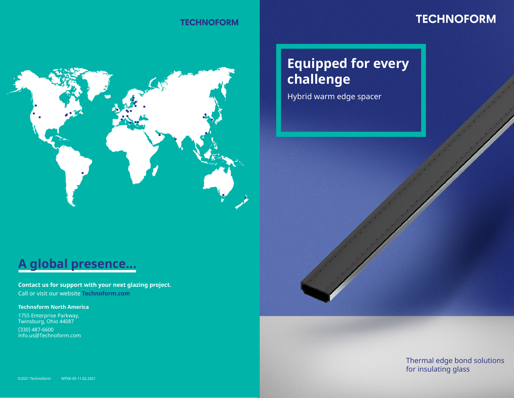### **TECHNOFORM**

### **TECHNOFORM**

# **Equipped for every challenge**

Hybrid warm edge spacer

## **A global presence...**

**Contact us for support with your next glazing project.** Call or visit our website **Technoform.com**

#### **Technoform North America**

1755 Enterprise Parkway, Twinsburg, Ohio 44087

(330) 487-6600 info.us@Technoform.com

> Thermal edge bond solutions for insulating glass